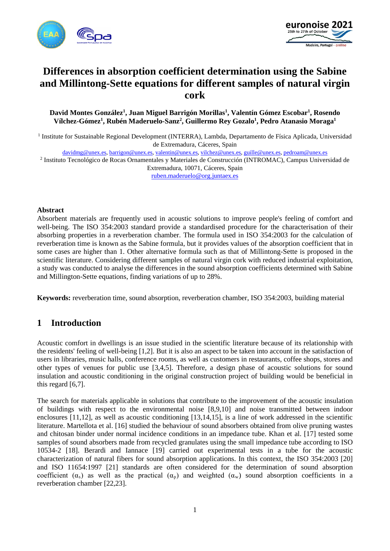



# **Differences in absorption coefficient determination using the Sabine and Millintong-Sette equations for different samples of natural virgin cork**

**David Montes González1 , Juan Miguel Barrigón Morillas1 , Valentín Gómez Escobar1 , Rosendo Vílchez-Gómez1 , Rubén Maderuelo-Sanz2 , Guillermo Rey Gozalo1 , Pedro Atanasio Moraga1**

<sup>1</sup> Institute for Sustainable Regional Development (INTERRA), Lambda, Departamento de Física Aplicada, Universidad de Extremadura, Cáceres, Spain

[davidmg@unex.es,](mailto:davidmg@unex.es) [barrigon@unex.es,](mailto:barrigon@unex.es) [valentin@unex.es,](mailto:valentin@unex.es) [vilchez@unex.es,](mailto:vilchez@unex.es) [guille@unex.es,](mailto:guille@unex.es) [pedroam@unex.es](mailto:pedroam@unex.es)

<sup>2</sup> Instituto Tecnológico de Rocas Ornamentales y Materiales de Construcción (INTROMAC), Campus Universidad de Extremadura, 10071, Cáceres, Spain [ruben.maderuelo@org.juntaex.es](mailto:ruben.maderuelo@org.juntaex.es)

#### **Abstract**

Absorbent materials are frequently used in acoustic solutions to improve people's feeling of comfort and well-being. The ISO 354:2003 standard provide a standardised procedure for the characterisation of their absorbing properties in a reverberation chamber. The formula used in ISO 354:2003 for the calculation of reverberation time is known as the Sabine formula, but it provides values of the absorption coefficient that in some cases are higher than 1. Other alternative formula such as that of Millintong-Sette is proposed in the scientific literature. Considering different samples of natural virgin cork with reduced industrial exploitation, a study was conducted to analyse the differences in the sound absorption coefficients determined with Sabine and Millington-Sette equations, finding variations of up to 28%.

**Keywords:** reverberation time, sound absorption, reverberation chamber, ISO 354:2003, building material

### **1 Introduction**

Acoustic comfort in dwellings is an issue studied in the scientific literature because of its relationship with the residents' feeling of well-being [1,2]. But it is also an aspect to be taken into account in the satisfaction of users in libraries, music halls, conference rooms, as well as customers in restaurants, coffee shops, stores and other types of venues for public use [3,4,5]. Therefore, a design phase of acoustic solutions for sound insulation and acoustic conditioning in the original construction project of building would be beneficial in this regard [6,7].

The search for materials applicable in solutions that contribute to the improvement of the acoustic insulation of buildings with respect to the environmental noise [8,9,10] and noise transmitted between indoor enclosures [11,12], as well as acoustic conditioning [13,14,15], is a line of work addressed in the scientific literature. Martellota et al. [16] studied the behaviour of sound absorbers obtained from olive pruning wastes and chitosan binder under normal incidence conditions in an impedance tube. Khan et al. [17] tested some samples of sound absorbers made from recycled granulates using the small impedance tube according to ISO 10534-2 [18]. Berardi and Iannace [19] carried out experimental tests in a tube for the acoustic characterization of natural fibers for sound absorption applications. In this context, the ISO 354:2003 [20] and ISO 11654:1997 [21] standards are often considered for the determination of sound absorption coefficient  $(\alpha_s)$  as well as the practical  $(\alpha_p)$  and weighted  $(\alpha_w)$  sound absorption coefficients in a reverberation chamber [22,23].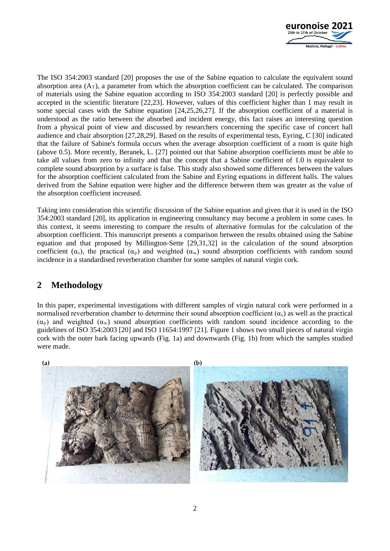

The ISO 354:2003 standard [20] proposes the use of the Sabine equation to calculate the equivalent sound absorption area  $(A_T)$ , a parameter from which the absorption coefficient can be calculated. The comparison of materials using the Sabine equation according to ISO 354:2003 standard [20] is perfectly possible and accepted in the scientific literature [22,23]. However, values of this coefficient higher than 1 may result in some special cases with the Sabine equation [24,25,26,27]. If the absorption coefficient of a material is understood as the ratio between the absorbed and incident energy, this fact raises an interesting question from a physical point of view and discussed by researchers concerning the specific case of concert hall audience and chair absorption [27,28,29]. Based on the results of experimental tests, Eyring, C [30] indicated that the failure of Sabine's formula occurs when the average absorption coefficient of a room is quite high (above 0.5). More recently, Beranek, L. [27] pointed out that Sabine absorption coefficients must be able to take all values from zero to infinity and that the concept that a Sabine coefficient of 1.0 is equivalent to complete sound absorption by a surface is false. This study also showed some differences between the values for the absorption coefficient calculated from the Sabine and Eyring equations in different halls. The values derived from the Sabine equation were higher and the difference between them was greater as the value of the absorption coefficient increased.

Taking into consideration this scientific discussion of the Sabine equation and given that it is used in the ISO 354:2003 standard [20], its application in engineering consultancy may become a problem in some cases. In this context, it seems interesting to compare the results of alternative formulas for the calculation of the absorption coefficient. This manuscript presents a comparison between the results obtained using the Sabine equation and that proposed by Millington-Sette [29,31,32] in the calculation of the sound absorption coefficient ( $\alpha_s$ ), the practical ( $\alpha_p$ ) and weighted ( $\alpha_w$ ) sound absorption coefficients with random sound incidence in a standardised reverberation chamber for some samples of natural virgin cork.

# **2 Methodology**

In this paper, experimental investigations with different samples of virgin natural cork were performed in a normalised reverberation chamber to determine their sound absorption coefficient  $(\alpha_s)$  as well as the practical  $(\alpha_p)$  and weighted  $(\alpha_w)$  sound absorption coefficients with random sound incidence according to the guidelines of ISO 354:2003 [20] and ISO 11654:1997 [21]. Figure 1 shows two small pieces of natural virgin cork with the outer bark facing upwards (Fig. 1a) and downwards (Fig. 1b) from which the samples studied were made.

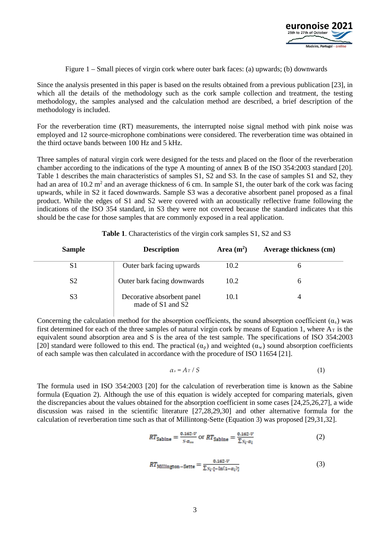

Figure 1 – Small pieces of virgin cork where outer bark faces: (a) upwards; (b) downwards

Since the analysis presented in this paper is based on the results obtained from a previous publication [23], in which all the details of the methodology such as the cork sample collection and treatment, the testing methodology, the samples analysed and the calculation method are described, a brief description of the methodology is included.

For the reverberation time (RT) measurements, the interrupted noise signal method with pink noise was employed and 12 source-microphone combinations were considered. The reverberation time was obtained in the third octave bands between 100 Hz and 5 kHz.

Three samples of natural virgin cork were designed for the tests and placed on the floor of the reverberation chamber according to the indications of the type A mounting of annex B of the ISO 354:2003 standard [20]. Table 1 describes the main characteristics of samples S1, S2 and S3. In the case of samples S1 and S2, they had an area of  $10.2$  m<sup>2</sup> and an average thickness of 6 cm. In sample S1, the outer bark of the cork was facing upwards, while in S2 it faced downwards. Sample S3 was a decorative absorbent panel proposed as a final product. While the edges of S1 and S2 were covered with an acoustically reflective frame following the indications of the ISO 354 standard, in S3 they were not covered because the standard indicates that this should be the case for those samples that are commonly exposed in a real application.

| <b>Sample</b>  | <b>Description</b>                              | Area $(m^2)$ | Average thickness (cm) |
|----------------|-------------------------------------------------|--------------|------------------------|
| S1             | Outer bark facing upwards                       | 10.2         |                        |
| S <sub>2</sub> | Outer bark facing downwards                     | 10.2         | n                      |
| S <sub>3</sub> | Decorative absorbent panel<br>made of S1 and S2 | 10.1         |                        |

#### **Table 1**. Characteristics of the virgin cork samples S1, S2 and S3

Concerning the calculation method for the absorption coefficients, the sound absorption coefficient  $(\alpha_s)$  was first determined for each of the three samples of natural virgin cork by means of Equation 1, where  $A_T$  is the equivalent sound absorption area and S is the area of the test sample. The specifications of ISO 354:2003 [20] standard were followed to this end. The practical  $(\alpha_p)$  and weighted  $(\alpha_w)$  sound absorption coefficients of each sample was then calculated in accordance with the procedure of ISO 11654 [21].

$$
\alpha_s = A \, \text{T} \, / \, S \tag{1}
$$

The formula used in ISO 354:2003 [20] for the calculation of reverberation time is known as the Sabine formula (Equation 2). Although the use of this equation is widely accepted for comparing materials, given the discrepancies about the values obtained for the absorption coefficient in some cases [24,25,26,27], a wide discussion was raised in the scientific literature [27,28,29,30] and other alternative formula for the calculation of reverberation time such as that of Millintong-Sette (Equation 3) was proposed [29,31,32].

$$
RT_{\text{Sabine}} = \frac{\text{0.162-V}}{\text{s} \cdot \text{s} \cdot \text{m}} \text{ or } RT_{\text{Sabine}} = \frac{\text{0.162-V}}{\sum \text{s} \cdot \text{s} \cdot \text{s} \cdot \text{s}} \tag{2}
$$

$$
RT_{\text{Millington}-\text{Sette}} = \frac{\mathbf{0.162} \cdot V}{\sum s_i \cdot [-\ln(1 - \alpha_i)]} \tag{3}
$$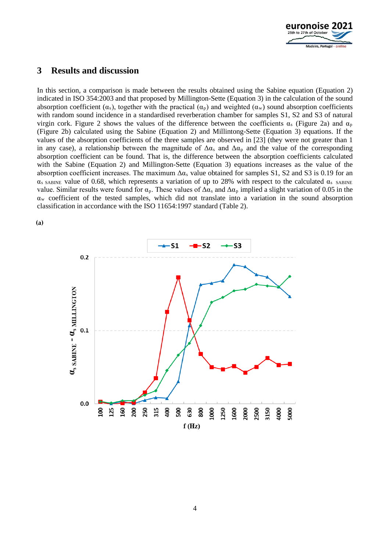

### **3 Results and discussion**

In this section, a comparison is made between the results obtained using the Sabine equation (Equation 2) indicated in ISO 354:2003 and that proposed by Millington-Sette (Equation 3) in the calculation of the sound absorption coefficient ( $\alpha_s$ ), together with the practical ( $\alpha_p$ ) and weighted ( $\alpha_w$ ) sound absorption coefficients with random sound incidence in a standardised reverberation chamber for samples S1, S2 and S3 of natural virgin cork. Figure 2 shows the values of the difference between the coefficients  $\alpha_s$  (Figure 2a) and  $\alpha_p$ (Figure 2b) calculated using the Sabine (Equation 2) and Millintong-Sette (Equation 3) equations. If the values of the absorption coefficients of the three samples are observed in [23] (they were not greater than 1 in any case), a relationship between the magnitude of  $\Delta \alpha_s$  and  $\Delta \alpha_p$  and the value of the corresponding absorption coefficient can be found. That is, the difference between the absorption coefficients calculated with the Sabine (Equation 2) and Millington-Sette (Equation 3) equations increases as the value of the absorption coefficient increases. The maximum  $\Delta \alpha_s$  value obtained for samples S1, S2 and S3 is 0.19 for an  $\alpha_s$  SABINE value of 0.68, which represents a variation of up to 28% with respect to the calculated  $\alpha_s$  SABINE value. Similar results were found for  $\alpha_p$ . These values of  $\Delta \alpha_s$  and  $\Delta \alpha_p$  implied a slight variation of 0.05 in the  $\alpha_w$  coefficient of the tested samples, which did not translate into a variation in the sound absorption classification in accordance with the ISO 11654:1997 standard (Table 2).



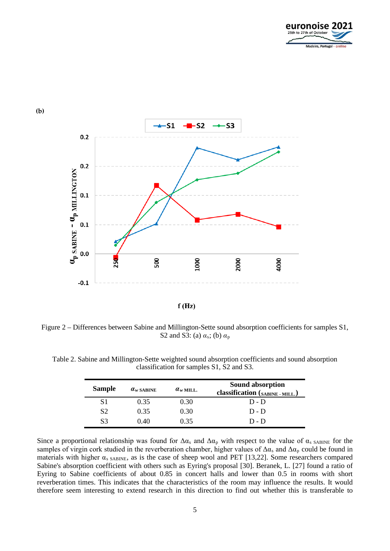



**(b)** 

Figure 2 – Differences between Sabine and Millington-Sette sound absorption coefficients for samples S1, S2 and S3: (a) *α*s; (b) *α*<sup>p</sup>

| Table 2. Sabine and Millington-Sette weighted sound absorption coefficients and sound absorption |  |
|--------------------------------------------------------------------------------------------------|--|
| classification for samples S1, S2 and S3.                                                        |  |

| <b>Sample</b>  | $\alpha_w$ sabine | $\alpha_{w \text{ MILL}}$ | <b>Sound absorption</b><br>classification (SABINE - MILL.) |
|----------------|-------------------|---------------------------|------------------------------------------------------------|
| S1             | 0.35              | 0.30                      | $D - D$                                                    |
| S <sub>2</sub> | 0.35              | 0.30                      | $D - D$                                                    |
| S <sub>3</sub> | 0.40              | 0.35                      | $D - D$                                                    |

Since a proportional relationship was found for  $\Delta \alpha_s$  and  $\Delta \alpha_p$  with respect to the value of  $\alpha_s$  SABINE for the samples of virgin cork studied in the reverberation chamber, higher values of  $\Delta\alpha_s$  and  $\Delta\alpha_p$  could be found in materials with higher  $\alpha_s$  SABINE, as is the case of sheep wool and PET [13,22]. Some researchers compared Sabine's absorption coefficient with others such as Eyring's proposal [30]. Beranek, L. [27] found a ratio of Eyring to Sabine coefficients of about 0.85 in concert halls and lower than 0.5 in rooms with short reverberation times. This indicates that the characteristics of the room may influence the results. It would therefore seem interesting to extend research in this direction to find out whether this is transferable to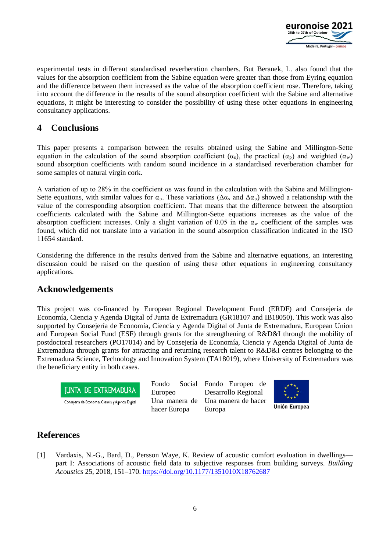

experimental tests in different standardised reverberation chambers. But Beranek, L. also found that the values for the absorption coefficient from the Sabine equation were greater than those from Eyring equation and the difference between them increased as the value of the absorption coefficient rose. Therefore, taking into account the difference in the results of the sound absorption coefficient with the Sabine and alternative equations, it might be interesting to consider the possibility of using these other equations in engineering consultancy applications.

## **4 Conclusions**

This paper presents a comparison between the results obtained using the Sabine and Millington-Sette equation in the calculation of the sound absorption coefficient  $(\alpha_s)$ , the practical  $(\alpha_p)$  and weighted  $(\alpha_w)$ sound absorption coefficients with random sound incidence in a standardised reverberation chamber for some samples of natural virgin cork.

A variation of up to 28% in the coefficient αs was found in the calculation with the Sabine and Millington-Sette equations, with similar values for  $\alpha_p$ . These variations ( $\Delta \alpha_s$  and  $\Delta \alpha_p$ ) showed a relationship with the value of the corresponding absorption coefficient. That means that the difference between the absorption coefficients calculated with the Sabine and Millington-Sette equations increases as the value of the absorption coefficient increases. Only a slight variation of 0.05 in the  $\alpha_w$  coefficient of the samples was found, which did not translate into a variation in the sound absorption classification indicated in the ISO 11654 standard.

Considering the difference in the results derived from the Sabine and alternative equations, an interesting discussion could be raised on the question of using these other equations in engineering consultancy applications.

### **Acknowledgements**

This project was co-financed by European Regional Development Fund (ERDF) and Consejería de Economía, Ciencia y Agenda Digital of Junta de Extremadura (GR18107 and IB18050). This work was also supported by Consejería de Economía, Ciencia y Agenda Digital of Junta de Extremadura, European Union and European Social Fund (ESF) through grants for the strengthening of R&D&I through the mobility of postdoctoral researchers (PO17014) and by Consejería de Economía, Ciencia y Agenda Digital of Junta de Extremadura through grants for attracting and returning research talent to R&D&I centres belonging to the Extremadura Science, Technology and Innovation System (TA18019), where University of Extremadura was the beneficiary entity in both cases.



Consejería de Economia, Ciencia y Agenda Digital

Fondo Social Europeo Una manera de hacer Europa

Fondo Europeo de Desarrollo Regional Una manera de hacer Europa



Unión Europea

# **References**

[1] Vardaxis, N.-G., Bard, D., Persson Waye, K. Review of acoustic comfort evaluation in dwellings part I: Associations of acoustic field data to subjective responses from building surveys. *Building Acoustics* 25, 2018, 151–170.<https://doi.org/10.1177/1351010X18762687>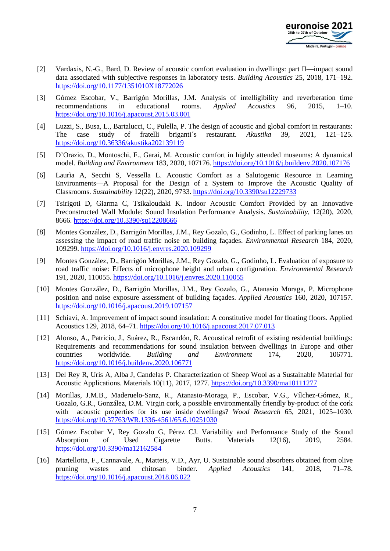

- [2] Vardaxis, N.-G., Bard, D. Review of acoustic comfort evaluation in dwellings: part II—impact sound data associated with subjective responses in laboratory tests. *Building Acoustics* 25, 2018, 171–192. <https://doi.org/10.1177/1351010X18772026>
- [3] Gómez Escobar, V., Barrigón Morillas, J.M. Analysis of intelligibility and reverberation time recommendations in educational rooms. *Applied Acoustics* 96, 2015, 1–10. <https://doi.org/10.1016/j.apacoust.2015.03.001>
- [4] Luzzi, S., Busa, L., Bartalucci, C., Pulella, P. The design of acoustic and global comfort in restaurants: The case study of fratelli briganti´s restaurant. *Akustika* 39, 2021, 121–125. <https://doi.org/10.36336/akustika202139119>
- [5] D'Orazio, D., Montoschi, F., Garai, M. Acoustic comfort in highly attended museums: A dynamical model. *Building and Environment* 183, 2020, 107176.<https://doi.org/10.1016/j.buildenv.2020.107176>
- [6] Laurìa A, Secchi S, Vessella L. Acoustic Comfort as a Salutogenic Resource in Learning Environments—A Proposal for the Design of a System to Improve the Acoustic Quality of Classrooms. *Sustainability* 12(22), 2020, 9733.<https://doi.org/10.3390/su12229733>
- [7] Tsirigoti D, Giarma C, Tsikaloudaki K. Indoor Acoustic Comfort Provided by an Innovative Preconstructed Wall Module: Sound Insulation Performance Analysis. *Sustainability*, 12(20), 2020, 8666.<https://doi.org/10.3390/su12208666>
- [8] Montes González, D., Barrigón Morillas, J.M., Rey Gozalo, G., Godinho, L. Effect of parking lanes on assessing the impact of road traffic noise on building façades. *Environmental Research* 184, 2020, 109299.<https://doi.org/10.1016/j.envres.2020.109299>
- [9] Montes González, D., Barrigón Morillas, J.M., Rey Gozalo, G., Godinho, L. Evaluation of exposure to road traffic noise: Effects of microphone height and urban configuration. *Environmental Research* 191, 2020, 110055.<https://doi.org/10.1016/j.envres.2020.110055>
- [10] Montes González, D., Barrigón Morillas, J.M., Rey Gozalo, G., Atanasio Moraga, P. Microphone position and noise exposure assessment of building façades. *Applied Acoustics* 160, 2020, 107157. <https://doi.org/10.1016/j.apacoust.2019.107157>
- [11] Schiavi, A. Improvement of impact sound insulation: A constitutive model for floating floors. Applied Acoustics 129, 2018, 64–71.<https://doi.org/10.1016/j.apacoust.2017.07.013>
- [12] Alonso, A., Patricio, J., Suárez, R., Escandón, R. Acoustical retrofit of existing residential buildings: Requirements and recommendations for sound insulation between dwellings in Europe and other countries worldwide. *Building and Environment* 174, 2020, 106771. <https://doi.org/10.1016/j.buildenv.2020.106771>
- [13] Del Rey R, Uris A, Alba J, Candelas P. Characterization of Sheep Wool as a Sustainable Material for Acoustic Applications. Materials 10(11), 2017, 1277. https://doi.org/10.3390/ma10111277
- [14] Morillas, J.M.B., Maderuelo-Sanz, R., Atanasio-Moraga, P., Escobar, V.G., Vílchez-Gómez, R., Gozalo, G.R., González, D.M. Virgin cork, a possible environmentally friendly by-product of the cork with acoustic properties for its use inside dwellings? *Wood Research* 65, 2021, 1025–1030. <https://doi.org/10.37763/WR.1336-4561/65.6.10251030>
- [15] Gómez Escobar V, Rey Gozalo G, Pérez CJ. Variability and Performance Study of the Sound Absorption of Used Cigarette Butts. Materials 12(16), 2019, 2584. <https://doi.org/10.3390/ma12162584>
- [16] Martellotta, F., Cannavale, A., Matteis, V.D., Ayr, U. Sustainable sound absorbers obtained from olive pruning wastes and chitosan binder. *Applied Acoustics* 141, 2018, 71–78. <https://doi.org/10.1016/j.apacoust.2018.06.022>